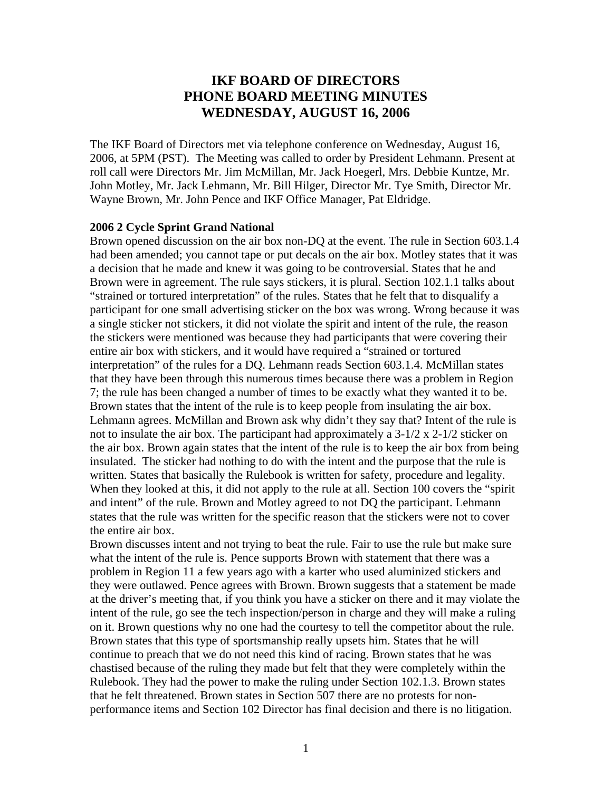# **IKF BOARD OF DIRECTORS PHONE BOARD MEETING MINUTES WEDNESDAY, AUGUST 16, 2006**

The IKF Board of Directors met via telephone conference on Wednesday, August 16, 2006, at 5PM (PST). The Meeting was called to order by President Lehmann. Present at roll call were Directors Mr. Jim McMillan, Mr. Jack Hoegerl, Mrs. Debbie Kuntze, Mr. John Motley, Mr. Jack Lehmann, Mr. Bill Hilger, Director Mr. Tye Smith, Director Mr. Wayne Brown, Mr. John Pence and IKF Office Manager, Pat Eldridge.

#### **2006 2 Cycle Sprint Grand National**

Brown opened discussion on the air box non-DQ at the event. The rule in Section 603.1.4 had been amended; you cannot tape or put decals on the air box. Motley states that it was a decision that he made and knew it was going to be controversial. States that he and Brown were in agreement. The rule says stickers, it is plural. Section 102.1.1 talks about "strained or tortured interpretation" of the rules. States that he felt that to disqualify a participant for one small advertising sticker on the box was wrong. Wrong because it was a single sticker not stickers, it did not violate the spirit and intent of the rule, the reason the stickers were mentioned was because they had participants that were covering their entire air box with stickers, and it would have required a "strained or tortured interpretation" of the rules for a DQ. Lehmann reads Section 603.1.4. McMillan states that they have been through this numerous times because there was a problem in Region 7; the rule has been changed a number of times to be exactly what they wanted it to be. Brown states that the intent of the rule is to keep people from insulating the air box. Lehmann agrees. McMillan and Brown ask why didn't they say that? Intent of the rule is not to insulate the air box. The participant had approximately a 3-1/2 x 2-1/2 sticker on the air box. Brown again states that the intent of the rule is to keep the air box from being insulated. The sticker had nothing to do with the intent and the purpose that the rule is written. States that basically the Rulebook is written for safety, procedure and legality. When they looked at this, it did not apply to the rule at all. Section 100 covers the "spirit and intent" of the rule. Brown and Motley agreed to not DQ the participant. Lehmann states that the rule was written for the specific reason that the stickers were not to cover the entire air box.

Brown discusses intent and not trying to beat the rule. Fair to use the rule but make sure what the intent of the rule is. Pence supports Brown with statement that there was a problem in Region 11 a few years ago with a karter who used aluminized stickers and they were outlawed. Pence agrees with Brown. Brown suggests that a statement be made at the driver's meeting that, if you think you have a sticker on there and it may violate the intent of the rule, go see the tech inspection/person in charge and they will make a ruling on it. Brown questions why no one had the courtesy to tell the competitor about the rule. Brown states that this type of sportsmanship really upsets him. States that he will continue to preach that we do not need this kind of racing. Brown states that he was chastised because of the ruling they made but felt that they were completely within the Rulebook. They had the power to make the ruling under Section 102.1.3. Brown states that he felt threatened. Brown states in Section 507 there are no protests for nonperformance items and Section 102 Director has final decision and there is no litigation.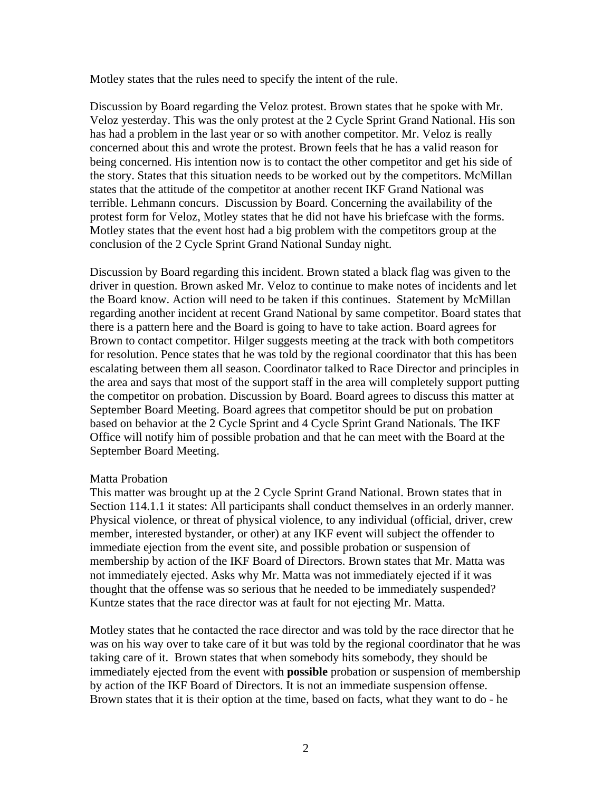Motley states that the rules need to specify the intent of the rule.

Discussion by Board regarding the Veloz protest. Brown states that he spoke with Mr. Veloz yesterday. This was the only protest at the 2 Cycle Sprint Grand National. His son has had a problem in the last year or so with another competitor. Mr. Veloz is really concerned about this and wrote the protest. Brown feels that he has a valid reason for being concerned. His intention now is to contact the other competitor and get his side of the story. States that this situation needs to be worked out by the competitors. McMillan states that the attitude of the competitor at another recent IKF Grand National was terrible. Lehmann concurs. Discussion by Board. Concerning the availability of the protest form for Veloz, Motley states that he did not have his briefcase with the forms. Motley states that the event host had a big problem with the competitors group at the conclusion of the 2 Cycle Sprint Grand National Sunday night.

Discussion by Board regarding this incident. Brown stated a black flag was given to the driver in question. Brown asked Mr. Veloz to continue to make notes of incidents and let the Board know. Action will need to be taken if this continues. Statement by McMillan regarding another incident at recent Grand National by same competitor. Board states that there is a pattern here and the Board is going to have to take action. Board agrees for Brown to contact competitor. Hilger suggests meeting at the track with both competitors for resolution. Pence states that he was told by the regional coordinator that this has been escalating between them all season. Coordinator talked to Race Director and principles in the area and says that most of the support staff in the area will completely support putting the competitor on probation. Discussion by Board. Board agrees to discuss this matter at September Board Meeting. Board agrees that competitor should be put on probation based on behavior at the 2 Cycle Sprint and 4 Cycle Sprint Grand Nationals. The IKF Office will notify him of possible probation and that he can meet with the Board at the September Board Meeting.

### Matta Probation

This matter was brought up at the 2 Cycle Sprint Grand National. Brown states that in Section 114.1.1 it states: All participants shall conduct themselves in an orderly manner. Physical violence, or threat of physical violence, to any individual (official, driver, crew member, interested bystander, or other) at any IKF event will subject the offender to immediate ejection from the event site, and possible probation or suspension of membership by action of the IKF Board of Directors. Brown states that Mr. Matta was not immediately ejected. Asks why Mr. Matta was not immediately ejected if it was thought that the offense was so serious that he needed to be immediately suspended? Kuntze states that the race director was at fault for not ejecting Mr. Matta.

Motley states that he contacted the race director and was told by the race director that he was on his way over to take care of it but was told by the regional coordinator that he was taking care of it. Brown states that when somebody hits somebody, they should be immediately ejected from the event with **possible** probation or suspension of membership by action of the IKF Board of Directors. It is not an immediate suspension offense. Brown states that it is their option at the time, based on facts, what they want to do - he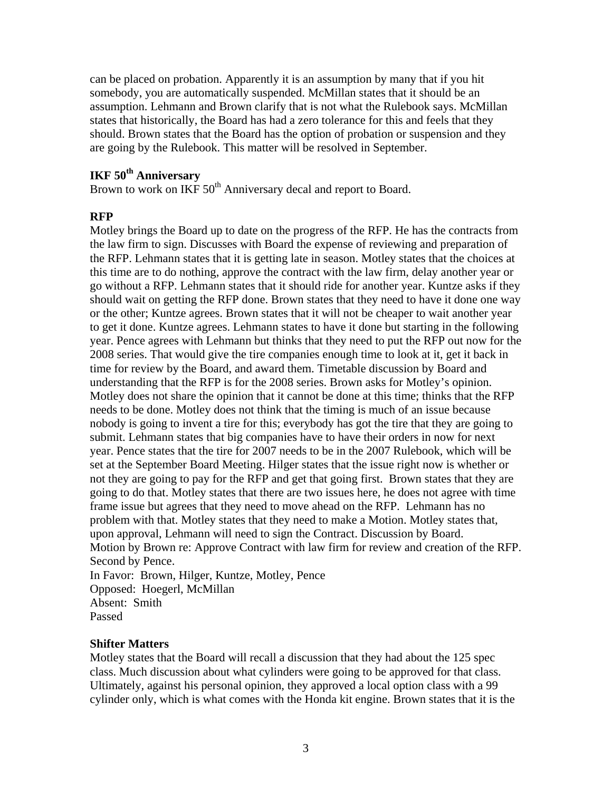can be placed on probation. Apparently it is an assumption by many that if you hit somebody, you are automatically suspended. McMillan states that it should be an assumption. Lehmann and Brown clarify that is not what the Rulebook says. McMillan states that historically, the Board has had a zero tolerance for this and feels that they should. Brown states that the Board has the option of probation or suspension and they are going by the Rulebook. This matter will be resolved in September.

# **IKF 50th Anniversary**

Brown to work on IKF 50<sup>th</sup> Anniversary decal and report to Board.

### **RFP**

Motley brings the Board up to date on the progress of the RFP. He has the contracts from the law firm to sign. Discusses with Board the expense of reviewing and preparation of the RFP. Lehmann states that it is getting late in season. Motley states that the choices at this time are to do nothing, approve the contract with the law firm, delay another year or go without a RFP. Lehmann states that it should ride for another year. Kuntze asks if they should wait on getting the RFP done. Brown states that they need to have it done one way or the other; Kuntze agrees. Brown states that it will not be cheaper to wait another year to get it done. Kuntze agrees. Lehmann states to have it done but starting in the following year. Pence agrees with Lehmann but thinks that they need to put the RFP out now for the 2008 series. That would give the tire companies enough time to look at it, get it back in time for review by the Board, and award them. Timetable discussion by Board and understanding that the RFP is for the 2008 series. Brown asks for Motley's opinion. Motley does not share the opinion that it cannot be done at this time; thinks that the RFP needs to be done. Motley does not think that the timing is much of an issue because nobody is going to invent a tire for this; everybody has got the tire that they are going to submit. Lehmann states that big companies have to have their orders in now for next year. Pence states that the tire for 2007 needs to be in the 2007 Rulebook, which will be set at the September Board Meeting. Hilger states that the issue right now is whether or not they are going to pay for the RFP and get that going first. Brown states that they are going to do that. Motley states that there are two issues here, he does not agree with time frame issue but agrees that they need to move ahead on the RFP. Lehmann has no problem with that. Motley states that they need to make a Motion. Motley states that, upon approval, Lehmann will need to sign the Contract. Discussion by Board. Motion by Brown re: Approve Contract with law firm for review and creation of the RFP. Second by Pence. In Favor: Brown, Hilger, Kuntze, Motley, Pence Opposed: Hoegerl, McMillan Absent: Smith

Passed

### **Shifter Matters**

Motley states that the Board will recall a discussion that they had about the 125 spec class. Much discussion about what cylinders were going to be approved for that class. Ultimately, against his personal opinion, they approved a local option class with a 99 cylinder only, which is what comes with the Honda kit engine. Brown states that it is the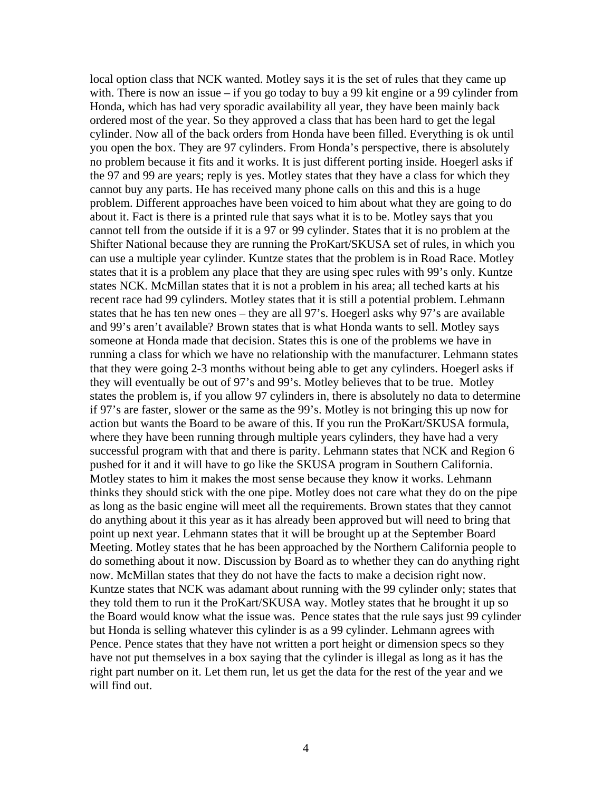local option class that NCK wanted. Motley says it is the set of rules that they came up with. There is now an issue – if you go today to buy a 99 kit engine or a 99 cylinder from Honda, which has had very sporadic availability all year, they have been mainly back ordered most of the year. So they approved a class that has been hard to get the legal cylinder. Now all of the back orders from Honda have been filled. Everything is ok until you open the box. They are 97 cylinders. From Honda's perspective, there is absolutely no problem because it fits and it works. It is just different porting inside. Hoegerl asks if the 97 and 99 are years; reply is yes. Motley states that they have a class for which they cannot buy any parts. He has received many phone calls on this and this is a huge problem. Different approaches have been voiced to him about what they are going to do about it. Fact is there is a printed rule that says what it is to be. Motley says that you cannot tell from the outside if it is a 97 or 99 cylinder. States that it is no problem at the Shifter National because they are running the ProKart/SKUSA set of rules, in which you can use a multiple year cylinder. Kuntze states that the problem is in Road Race. Motley states that it is a problem any place that they are using spec rules with 99's only. Kuntze states NCK. McMillan states that it is not a problem in his area; all teched karts at his recent race had 99 cylinders. Motley states that it is still a potential problem. Lehmann states that he has ten new ones – they are all 97's. Hoegerl asks why 97's are available and 99's aren't available? Brown states that is what Honda wants to sell. Motley says someone at Honda made that decision. States this is one of the problems we have in running a class for which we have no relationship with the manufacturer. Lehmann states that they were going 2-3 months without being able to get any cylinders. Hoegerl asks if they will eventually be out of 97's and 99's. Motley believes that to be true. Motley states the problem is, if you allow 97 cylinders in, there is absolutely no data to determine if 97's are faster, slower or the same as the 99's. Motley is not bringing this up now for action but wants the Board to be aware of this. If you run the ProKart/SKUSA formula, where they have been running through multiple years cylinders, they have had a very successful program with that and there is parity. Lehmann states that NCK and Region 6 pushed for it and it will have to go like the SKUSA program in Southern California. Motley states to him it makes the most sense because they know it works. Lehmann thinks they should stick with the one pipe. Motley does not care what they do on the pipe as long as the basic engine will meet all the requirements. Brown states that they cannot do anything about it this year as it has already been approved but will need to bring that point up next year. Lehmann states that it will be brought up at the September Board Meeting. Motley states that he has been approached by the Northern California people to do something about it now. Discussion by Board as to whether they can do anything right now. McMillan states that they do not have the facts to make a decision right now. Kuntze states that NCK was adamant about running with the 99 cylinder only; states that they told them to run it the ProKart/SKUSA way. Motley states that he brought it up so the Board would know what the issue was. Pence states that the rule says just 99 cylinder but Honda is selling whatever this cylinder is as a 99 cylinder. Lehmann agrees with Pence. Pence states that they have not written a port height or dimension specs so they have not put themselves in a box saying that the cylinder is illegal as long as it has the right part number on it. Let them run, let us get the data for the rest of the year and we will find out.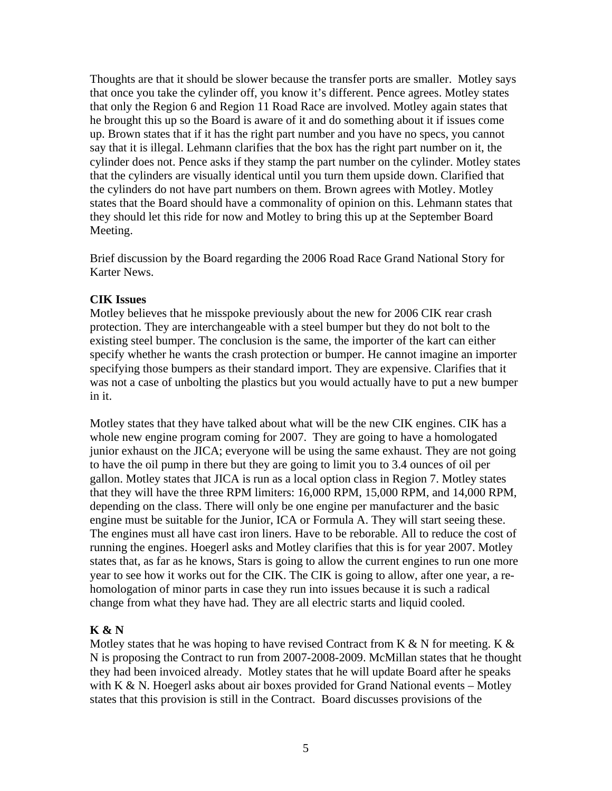Thoughts are that it should be slower because the transfer ports are smaller. Motley says that once you take the cylinder off, you know it's different. Pence agrees. Motley states that only the Region 6 and Region 11 Road Race are involved. Motley again states that he brought this up so the Board is aware of it and do something about it if issues come up. Brown states that if it has the right part number and you have no specs, you cannot say that it is illegal. Lehmann clarifies that the box has the right part number on it, the cylinder does not. Pence asks if they stamp the part number on the cylinder. Motley states that the cylinders are visually identical until you turn them upside down. Clarified that the cylinders do not have part numbers on them. Brown agrees with Motley. Motley states that the Board should have a commonality of opinion on this. Lehmann states that they should let this ride for now and Motley to bring this up at the September Board Meeting.

Brief discussion by the Board regarding the 2006 Road Race Grand National Story for Karter News.

## **CIK Issues**

Motley believes that he misspoke previously about the new for 2006 CIK rear crash protection. They are interchangeable with a steel bumper but they do not bolt to the existing steel bumper. The conclusion is the same, the importer of the kart can either specify whether he wants the crash protection or bumper. He cannot imagine an importer specifying those bumpers as their standard import. They are expensive. Clarifies that it was not a case of unbolting the plastics but you would actually have to put a new bumper in it.

Motley states that they have talked about what will be the new CIK engines. CIK has a whole new engine program coming for 2007. They are going to have a homologated junior exhaust on the JICA; everyone will be using the same exhaust. They are not going to have the oil pump in there but they are going to limit you to 3.4 ounces of oil per gallon. Motley states that JICA is run as a local option class in Region 7. Motley states that they will have the three RPM limiters: 16,000 RPM, 15,000 RPM, and 14,000 RPM, depending on the class. There will only be one engine per manufacturer and the basic engine must be suitable for the Junior, ICA or Formula A. They will start seeing these. The engines must all have cast iron liners. Have to be reborable. All to reduce the cost of running the engines. Hoegerl asks and Motley clarifies that this is for year 2007. Motley states that, as far as he knows, Stars is going to allow the current engines to run one more year to see how it works out for the CIK. The CIK is going to allow, after one year, a rehomologation of minor parts in case they run into issues because it is such a radical change from what they have had. They are all electric starts and liquid cooled.

# **K & N**

Motley states that he was hoping to have revised Contract from K  $\&$  N for meeting. K  $\&$ N is proposing the Contract to run from 2007-2008-2009. McMillan states that he thought they had been invoiced already. Motley states that he will update Board after he speaks with K & N. Hoegerl asks about air boxes provided for Grand National events – Motley states that this provision is still in the Contract. Board discusses provisions of the